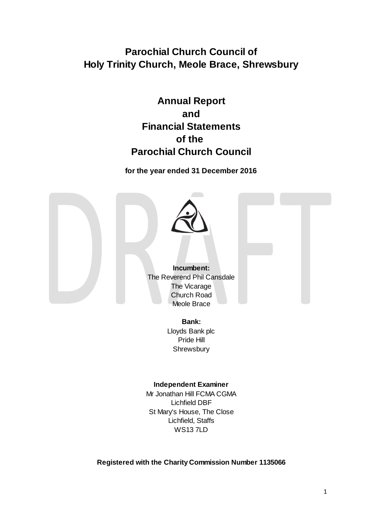# **Parochial Church Council of Holy Trinity Church, Meole Brace, Shrewsbury**

# **Annual Report and Financial Statements of the Parochial Church Council**

**for the year ended 31 December 2016**



**Incumbent:** The Reverend Phil Cansdale The Vicarage Church Road Meole Brace

> **Bank:** Lloyds Bank plc Pride Hill **Shrewsbury**

# **Independent Examiner**

Mr Jonathan Hill FCMA CGMA Lichfield DBF St Mary's House, The Close Lichfield, Staffs WS13 7LD

**Registered with the Charity Commission Number 1135066**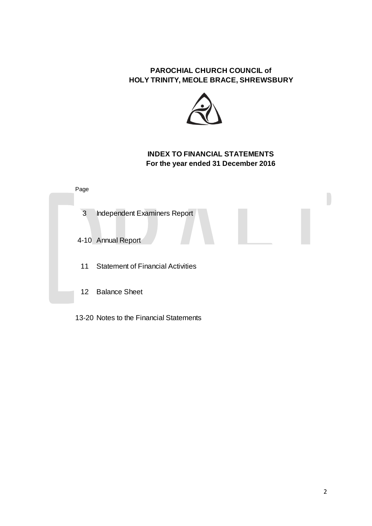

# **INDEX TO FINANCIAL STATEMENTS For the year ended 31 December 2016**



13-20 Notes to the Financial Statements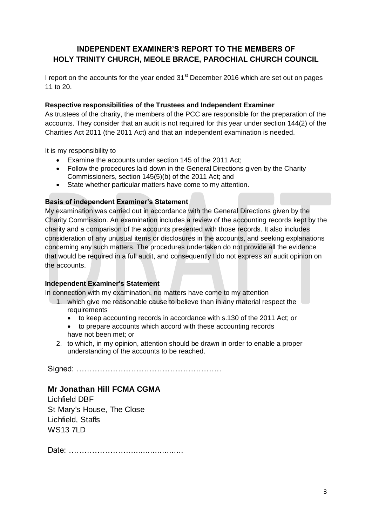# **INDEPENDENT EXAMINER'S REPORT TO THE MEMBERS OF HOLY TRINITY CHURCH, MEOLE BRACE, PAROCHIAL CHURCH COUNCIL**

I report on the accounts for the year ended  $31<sup>st</sup>$  December 2016 which are set out on pages 11 to 20.

## **Respective responsibilities of the Trustees and Independent Examiner**

As trustees of the charity, the members of the PCC are responsible for the preparation of the accounts. They consider that an audit is not required for this year under section 144(2) of the Charities Act 2011 (the 2011 Act) and that an independent examination is needed.

It is my responsibility to

- Examine the accounts under section 145 of the 2011 Act;
- Follow the procedures laid down in the General Directions given by the Charity Commissioners, section 145(5)(b) of the 2011 Act; and
- State whether particular matters have come to my attention.

# **Basis of independent Examiner's Statement**

My examination was carried out in accordance with the General Directions given by the Charity Commission. An examination includes a review of the accounting records kept by the charity and a comparison of the accounts presented with those records. It also includes consideration of any unusual items or disclosures in the accounts, and seeking explanations concerning any such matters. The procedures undertaken do not provide all the evidence that would be required in a full audit, and consequently I do not express an audit opinion on the accounts.

### **Independent Examiner's Statement**

In connection with my examination, no matters have come to my attention

- 1. which give me reasonable cause to believe than in any material respect the requirements
	- to keep accounting records in accordance with s.130 of the 2011 Act; or
	- to prepare accounts which accord with these accounting records have not been met; or
- 2. to which, in my opinion, attention should be drawn in order to enable a proper understanding of the accounts to be reached.

Signed: ………………………………………………..

# **Mr Jonathan Hill FCMA CGMA**

Lichfield DBF St Mary's House, The Close Lichfield, Staffs WS13 7LD

Date: …………………………………………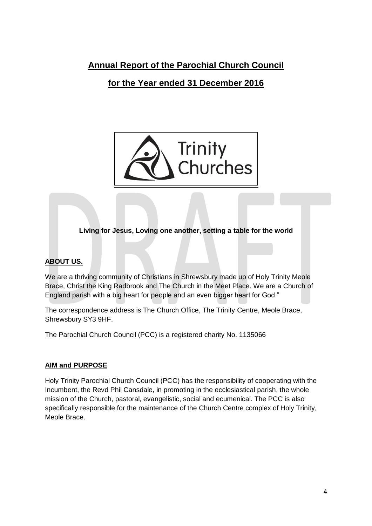# **Annual Report of the Parochial Church Council**

# **for the Year ended 31 December 2016**



**Living for Jesus, Loving one another, setting a table for the world**

# **ABOUT US.**

We are a thriving community of Christians in Shrewsbury made up of Holy Trinity Meole Brace, Christ the King Radbrook and The Church in the Meet Place. We are a Church of England parish with a big heart for people and an even bigger heart for God."

The correspondence address is The Church Office, The Trinity Centre, Meole Brace, Shrewsbury SY3 9HF.

The Parochial Church Council (PCC) is a registered charity No. 1135066

# **AIM and PURPOSE**

Holy Trinity Parochial Church Council (PCC) has the responsibility of cooperating with the Incumbent, the Revd Phil Cansdale, in promoting in the ecclesiastical parish, the whole mission of the Church, pastoral, evangelistic, social and ecumenical. The PCC is also specifically responsible for the maintenance of the Church Centre complex of Holy Trinity, Meole Brace.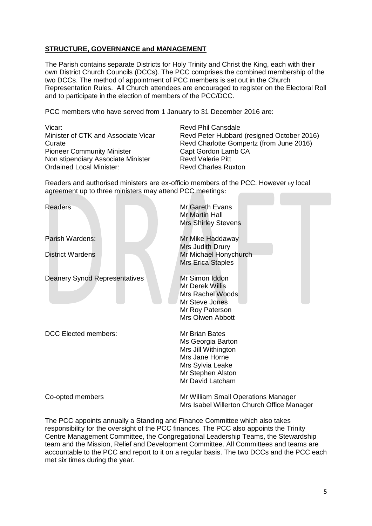# **STRUCTURE, GOVERNANCE and MANAGEMENT**

The Parish contains separate Districts for Holy Trinity and Christ the King, each with their own District Church Councils (DCCs). The PCC comprises the combined membership of the two DCCs. The method of appointment of PCC members is set out in the Church Representation Rules. All Church attendees are encouraged to register on the Electoral Roll and to participate in the election of members of the PCC/DCC.

PCC members who have served from 1 January to 31 December 2016 are:

Vicar: Vicar: Revd Phil Cansdale<br>
Minister of CTK and Associate Vicar Revd Peter Hubbard Pioneer Community Minister Capt Gordon Lamb CA Non stipendiary Associate Minister Revd Valerie Pitt Ordained Local Minister: Revd Charles Ruxton

Revd Peter Hubbard (resigned October 2016) Curate Revd Charlotte Gompertz (from June 2016)

Readers and authorised ministers are ex-officio members of the PCC. However by local agreement up to three ministers may attend PCC meetings:

| Readers                              | Mr Gareth Evans<br>Mr Martin Hall<br><b>Mrs Shirley Stevens</b>                                                                                  |
|--------------------------------------|--------------------------------------------------------------------------------------------------------------------------------------------------|
| Parish Wardens:                      | Mr Mike Haddaway<br>Mrs Judith Drury                                                                                                             |
| <b>District Wardens</b>              | Mr Michael Honychurch<br><b>Mrs Erica Staples</b>                                                                                                |
| <b>Deanery Synod Representatives</b> | Mr Simon Iddon<br>Mr Derek Willis<br>Mrs Rachel Woods<br>Mr Steve Jones<br>Mr Roy Paterson<br>Mrs Olwen Abbott                                   |
| <b>DCC Elected members:</b>          | <b>Mr Brian Bates</b><br>Ms Georgia Barton<br>Mrs Jill Withington<br>Mrs Jane Horne<br>Mrs Sylvia Leake<br>Mr Stephen Alston<br>Mr David Latcham |
| Co-opted members                     | Mr William Small Operations Manager<br>Mrs Isabel Willerton Church Office Manager                                                                |

The PCC appoints annually a Standing and Finance Committee which also takes responsibility for the oversight of the PCC finances. The PCC also appoints the Trinity Centre Management Committee, the Congregational Leadership Teams, the Stewardship team and the Mission, Relief and Development Committee. All Committees and teams are accountable to the PCC and report to it on a regular basis. The two DCCs and the PCC each met six times during the year.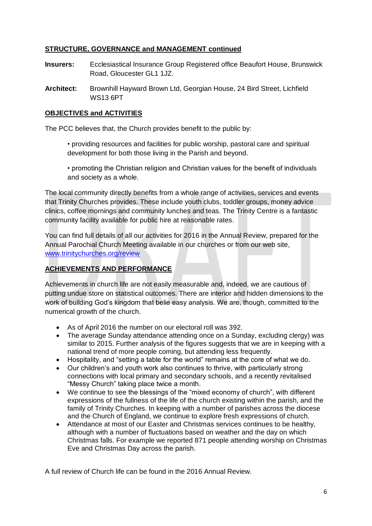# **STRUCTURE, GOVERNANCE and MANAGEMENT continued**

- **Insurers:** Ecclesiastical Insurance Group Registered office Beaufort House, Brunswick Road, Gloucester GL1 1JZ.
- **Architect:** Brownhill Hayward Brown Ltd, Georgian House, 24 Bird Street, Lichfield WS13 6PT

# **OBJECTIVES and ACTIVITIES**

The PCC believes that, the Church provides benefit to the public by:

• providing resources and facilities for public worship, pastoral care and spiritual development for both those living in the Parish and beyond.

• promoting the Christian religion and Christian values for the benefit of individuals and society as a whole.

The local community directly benefits from a whole range of activities, services and events that Trinity Churches provides. These include youth clubs, toddler groups, money advice clinics, coffee mornings and community lunches and teas. The Trinity Centre is a fantastic community facility available for public hire at reasonable rates.

You can find full details of all our activities for 2016 in the Annual Review, prepared for the Annual Parochial Church Meeting available in our churches or from our web site, [www.trinitychurches.org/review](http://www.trinitychurches.org/review)

# **ACHIEVEMENTS AND PERFORMANCE**

Achievements in church life are not easily measurable and, indeed, we are cautious of putting undue store on statistical outcomes. There are interior and hidden dimensions to the work of building God's kingdom that belie easy analysis. We are, though, committed to the numerical growth of the church.

- As of April 2016 the number on our electoral roll was 392.
- The average Sunday attendance attending once on a Sunday, excluding clergy) was similar to 2015. Further analysis of the figures suggests that we are in keeping with a national trend of more people coming, but attending less frequently.
- Hospitality, and "setting a table for the world" remains at the core of what we do.
- Our children's and youth work also continues to thrive, with particularly strong connections with local primary and secondary schools, and a recently revitalised "Messy Church" taking place twice a month.
- We continue to see the blessings of the "mixed economy of church", with different expressions of the fullness of the life of the church existing within the parish, and the family of Trinity Churches. In keeping with a number of parishes across the diocese and the Church of England, we continue to explore fresh expressions of church.
- Attendance at most of our Easter and Christmas services continues to be healthy, although with a number of fluctuations based on weather and the day on which Christmas falls. For example we reported 871 people attending worship on Christmas Eve and Christmas Day across the parish.

A full review of Church life can be found in the 2016 Annual Review.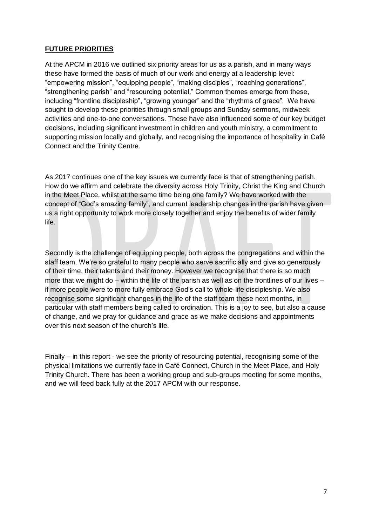# **FUTURE PRIORITIES**

At the APCM in 2016 we outlined six priority areas for us as a parish, and in many ways these have formed the basis of much of our work and energy at a leadership level: "empowering mission", "equipping people", "making disciples", "reaching generations", "strengthening parish" and "resourcing potential." Common themes emerge from these, including "frontline discipleship", "growing younger" and the "rhythms of grace". We have sought to develop these priorities through small groups and Sunday sermons, midweek activities and one-to-one conversations. These have also influenced some of our key budget decisions, including significant investment in children and youth ministry, a commitment to supporting mission locally and globally, and recognising the importance of hospitality in Café Connect and the Trinity Centre.

As 2017 continues one of the key issues we currently face is that of strengthening parish. How do we affirm and celebrate the diversity across Holy Trinity, Christ the King and Church in the Meet Place, whilst at the same time being one family? We have worked with the concept of "God's amazing family", and current leadership changes in the parish have given us a right opportunity to work more closely together and enjoy the benefits of wider family life.

Secondly is the challenge of equipping people, both across the congregations and within the staff team. We're so grateful to many people who serve sacrificially and give so generously of their time, their talents and their money. However we recognise that there is so much more that we might do – within the life of the parish as well as on the frontlines of our lives – if more people were to more fully embrace God's call to whole-life discipleship. We also recognise some significant changes in the life of the staff team these next months, in particular with staff members being called to ordination. This is a joy to see, but also a cause of change, and we pray for guidance and grace as we make decisions and appointments over this next season of the church's life.

Finally – in this report - we see the priority of resourcing potential, recognising some of the physical limitations we currently face in Café Connect, Church in the Meet Place, and Holy Trinity Church. There has been a working group and sub-groups meeting for some months, and we will feed back fully at the 2017 APCM with our response.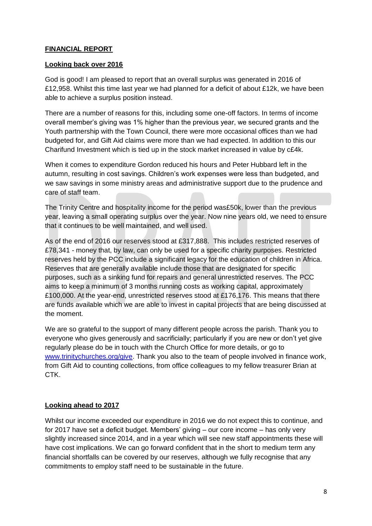# **FINANCIAL REPORT**

## **Looking back over 2016**

God is good! I am pleased to report that an overall surplus was generated in 2016 of £12,958. Whilst this time last year we had planned for a deficit of about £12k, we have been able to achieve a surplus position instead.

There are a number of reasons for this, including some one-off factors. In terms of income overall member's giving was 1% higher than the previous year, we secured grants and the Youth partnership with the Town Council, there were more occasional offices than we had budgeted for, and Gift Aid claims were more than we had expected. In addition to this our Charifund Investment which is tied up in the stock market increased in value by c£4k.

When it comes to expenditure Gordon reduced his hours and Peter Hubbard left in the autumn, resulting in cost savings. Children's work expenses were less than budgeted, and we saw savings in some ministry areas and administrative support due to the prudence and care of staff team.

The Trinity Centre and hospitality income for the period was£50k, lower than the previous year, leaving a small operating surplus over the year. Now nine years old, we need to ensure that it continues to be well maintained, and well used.

As of the end of 2016 our reserves stood at £317,888.This includes restricted reserves of £78,341 - money that, by law, can only be used for a specific charity purposes. Restricted reserves held by the PCC include a significant legacy for the education of children in Africa. Reserves that are generally available include those that are designated for specific purposes, such as a sinking fund for repairs and general unrestricted reserves. The PCC aims to keep a minimum of 3 months running costs as working capital, approximately £100,000. At the year-end, unrestricted reserves stood at £176,176. This means that there are funds available which we are able to invest in capital projects that are being discussed at the moment.

We are so grateful to the support of many different people across the parish. Thank you to everyone who gives generously and sacrificially; particularly if you are new or don't yet give regularly please do be in touch with the Church Office for more details, or go to [www.trinitychurches.org/give.](http://www.trinitychurches.org/give) Thank you also to the team of people involved in finance work, from Gift Aid to counting collections, from office colleagues to my fellow treasurer Brian at CTK.

# **Looking ahead to 2017**

Whilst our income exceeded our expenditure in 2016 we do not expect this to continue, and for 2017 have set a deficit budget. Members' giving – our core income – has only very slightly increased since 2014, and in a year which will see new staff appointments these will have cost implications. We can go forward confident that in the short to medium term any financial shortfalls can be covered by our reserves, although we fully recognise that any commitments to employ staff need to be sustainable in the future.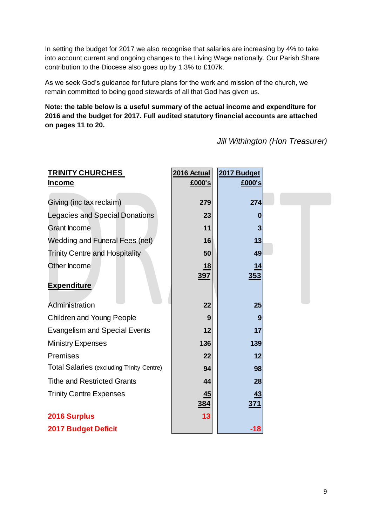In setting the budget for 2017 we also recognise that salaries are increasing by 4% to take into account current and ongoing changes to the Living Wage nationally. Our Parish Share contribution to the Diocese also goes up by 1.3% to £107k.

As we seek God's guidance for future plans for the work and mission of the church, we remain committed to being good stewards of all that God has given us.

**Note: the table below is a useful summary of the actual income and expenditure for 2016 and the budget for 2017. Full audited statutory financial accounts are attached on pages 11 to 20.**

*Jill Withington (Hon Treasurer)*

| <b>TRINITY CHURCHES</b>                          | 2016 Actual | 2017 Budget |  |
|--------------------------------------------------|-------------|-------------|--|
| <b>Income</b>                                    | £000's      | £000's      |  |
|                                                  |             |             |  |
| Giving (inc tax reclaim)                         | 279         | 274         |  |
| <b>Legacies and Special Donations</b>            | 23          |             |  |
| <b>Grant Income</b>                              | 11          |             |  |
| Wedding and Funeral Fees (net)                   | 16          | 13          |  |
| <b>Trinity Centre and Hospitality</b>            | 50          | 49          |  |
| Other Income                                     | 18          | <u> 14</u>  |  |
| <b>Expenditure</b>                               | <u>397</u>  | 353         |  |
| Administration                                   | 22          | 25          |  |
| <b>Children and Young People</b>                 | 9           | 9           |  |
| <b>Evangelism and Special Events</b>             | 12          | 17          |  |
| <b>Ministry Expenses</b>                         | 136         | 139         |  |
| Premises                                         | 22          | 12          |  |
| <b>Total Salaries (excluding Trinity Centre)</b> | 94          | 98          |  |
| <b>Tithe and Restricted Grants</b>               | 44          | 28          |  |
| <b>Trinity Centre Expenses</b>                   | 45          | 43          |  |
|                                                  | <u>384</u>  | <u>371</u>  |  |
| 2016 Surplus                                     | 13          |             |  |
| <b>2017 Budget Deficit</b>                       |             | $-18$       |  |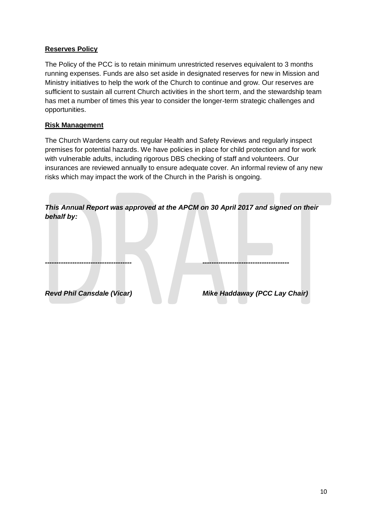# **Reserves Policy**

The Policy of the PCC is to retain minimum unrestricted reserves equivalent to 3 months running expenses. Funds are also set aside in designated reserves for new in Mission and Ministry initiatives to help the work of the Church to continue and grow. Our reserves are sufficient to sustain all current Church activities in the short term, and the stewardship team has met a number of times this year to consider the longer-term strategic challenges and opportunities.

## **Risk Management**

The Church Wardens carry out regular Health and Safety Reviews and regularly inspect premises for potential hazards. We have policies in place for child protection and for work with vulnerable adults, including rigorous DBS checking of staff and volunteers. Our insurances are reviewed annually to ensure adequate cover. An informal review of any new risks which may impact the work of the Church in the Parish is ongoing.

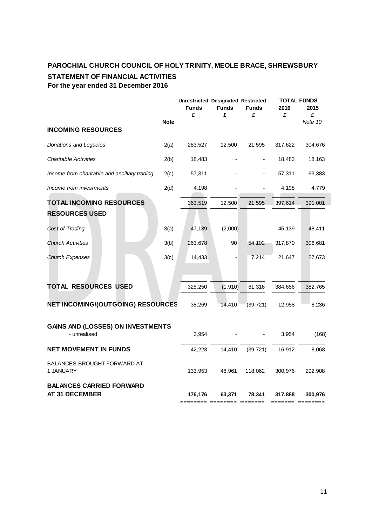# **PAROCHIAL CHURCH COUNCIL OF HOLY TRINITY, MEOLE BRACE, SHREWSBURY STATEMENT OF FINANCIAL ACTIVITIES For the year ended 31 December 2016**

|                                                          |             | <b>Unrestricted Designated Restricted</b><br><b>Funds</b><br>£ | <b>Funds</b><br>£ | <b>Funds</b><br>£ | <b>TOTAL FUNDS</b><br>2016<br>£ | 2015<br>£ |
|----------------------------------------------------------|-------------|----------------------------------------------------------------|-------------------|-------------------|---------------------------------|-----------|
| <b>INCOMING RESOURCES</b>                                | <b>Note</b> |                                                                |                   |                   |                                 | Note 10   |
| Donations and Legacies                                   | 2(a)        | 283,527                                                        | 12,500            | 21,595            | 317,622                         | 304,676   |
| <b>Charitable Activities</b>                             | 2(b)        | 18,483                                                         |                   |                   | 18,483                          | 18,163    |
| Income from charitable and ancillary trading             | 2(c)        | 57,311                                                         |                   |                   | 57,311                          | 63,383    |
| Income from investments                                  | 2(d)        | 4,198                                                          |                   |                   | 4,198                           | 4,779     |
| TOTAL INCOMING RESOURCES                                 |             | 363,519                                                        | 12,500            | 21,595            | 397,614                         | 391,001   |
| <b>RESOURCES USED</b>                                    |             |                                                                |                   |                   |                                 |           |
| Cost of Trading                                          | 3(a)        | 47,139                                                         | (2,000)           |                   | 45,139                          | 48,411    |
| <b>Church Activities</b>                                 | 3(b)        | 263,678                                                        | 90                | 54,102            | 317,870                         | 306,681   |
| <b>Church Expenses</b>                                   | 3(c)        | 14,433                                                         |                   | 7,214             | 21,647                          | 27,673    |
| TOTAL RESOURCES USED                                     |             | 325,250                                                        | (1, 910)          | 61,316            | 384,656                         | 382,765   |
| NET INCOMING/(OUTGOING) RESOURCES                        |             | 38,269                                                         | 14,410            | (39, 721)         | 12,958                          | 8,236     |
| GAINS AND (LOSSES) ON INVESTMENTS<br>- unrealised        |             | 3,954                                                          |                   |                   | 3,954                           | (168)     |
| <b>NET MOVEMENT IN FUNDS</b>                             |             | 42,223                                                         | 14,410            | (39, 721)         | 16,912                          | 8,068     |
| <b>BALANCES BROUGHT FORWARD AT</b><br>1 JANUARY          |             | 133,953                                                        | 48,961            | 118,062           | 300,976                         | 292,908   |
| <b>BALANCES CARRIED FORWARD</b><br><b>AT 31 DECEMBER</b> |             | 176,176                                                        | 63,371            | 78,341            | 317,888                         | 300,976   |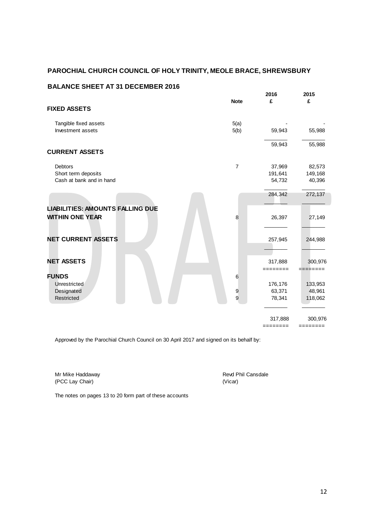### **BALANCE SHEET AT 31 DECEMBER 2016**

|                                         | <b>Note</b>    | 2016<br>£ | 2015<br>£ |
|-----------------------------------------|----------------|-----------|-----------|
| <b>FIXED ASSETS</b>                     |                |           |           |
| Tangible fixed assets                   | 5(a)           |           |           |
| Investment assets                       | 5(b)           | 59,943    | 55,988    |
|                                         |                | 59,943    | 55,988    |
| <b>CURRENT ASSETS</b>                   |                |           |           |
| <b>Debtors</b>                          | $\overline{7}$ | 37,969    | 82,573    |
| Short term deposits                     |                | 191,641   | 149,168   |
| Cash at bank and in hand                |                | 54,732    | 40,396    |
|                                         |                | 284,342   | 272,137   |
| <b>LIABILITIES: AMOUNTS FALLING DUE</b> |                |           |           |
| <b>WITHIN ONE YEAR</b>                  | 8              | 26,397    | 27,149    |
| <b>NET CURRENT ASSETS</b>               |                | 257,945   | 244,988   |
|                                         |                |           |           |
| <b>NET ASSETS</b>                       |                | 317,888   | 300,976   |
| <b>FUNDS</b>                            | 6              | ========  | ========  |
|                                         |                |           |           |
| Unrestricted                            |                | 176,176   | 133,953   |
| Designated                              | 9              | 63,371    | 48,961    |
| Restricted                              | 9              | 78,341    | 118,062   |
|                                         |                | 317,888   | 300,976   |

======== ========

Approved by the Parochial Church Council on 30 April 2017 and signed on its behalf by:

Mr Mike Haddaway **Revar Access 19 Access 19 Access 19 Access 19 Access 19 Access 19 Access 19 Access 19 Access 19 Access 19 Access 19 Access 19 Access 19 Access 19 Access 19 Access 19 Access 19 Access 19 Access 19 Access 1** (PCC Lay Chair) (Vicar)

The notes on pages 13 to 20 form part of these accounts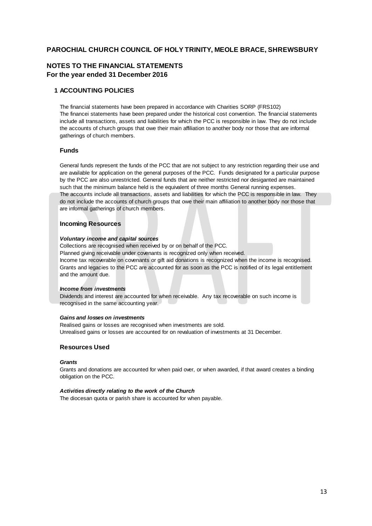### **NOTES TO THE FINANCIAL STATEMENTS For the year ended 31 December 2016**

### **1 ACCOUNTING POLICIES**

The financial statements have been prepared in accordance with Charities SORP (FRS102) The financei statements have been prepared under the historical cost convention. The financial statements include all transactions, assets and liabilities for which the PCC is responsible in law. They do not include the accounts of church groups that owe their main affiliation to another body nor those that are informal gatherings of church members.

### **Funds**

General funds represent the funds of the PCC that are not subject to any restriction regarding their use and are available for application on the general purposes of the PCC. Funds designated for a particular purpose by the PCC are also unrestricted. General funds that are neither restricted nor desiganted are maintained such that the minimum balance held is the equivalent of three months General running expenses. The accounts include all transactions, assets and liabilities for which the PCC is responsible in law. They do not include the accounts of church groups that owe their main affiliation to another body nor those that are informal gatherings of church members.

### **Incoming Resources**

#### *Voluntary income and capital sources*

Collections are recognised when received by or on behalf of the PCC. Planned giving receivable under covenants is recognized only when received. Income tax recoverable on covenants or gift aid donations is recognized when the income is recognised. Grants and legacies to the PCC are accounted for as soon as the PCC is notified of its legal entitlement and the amount due.

### *Income from investments*

Dividends and interest are accounted for when receivable. Any tax recoverable on such income is recognised in the same accounting year.

### *Gains and losses on investments*

Realised gains or losses are recognised when investments are sold. Unrealised gains or losses are accounted for on revaluation of investments at 31 December.

### **Resources Used**

#### *Grants*

Grants and donations are accounted for when paid over, or when awarded, if that award creates a binding obligation on the PCC.

#### *Activities directly relating to the work of the Church*

The diocesan quota or parish share is accounted for when payable.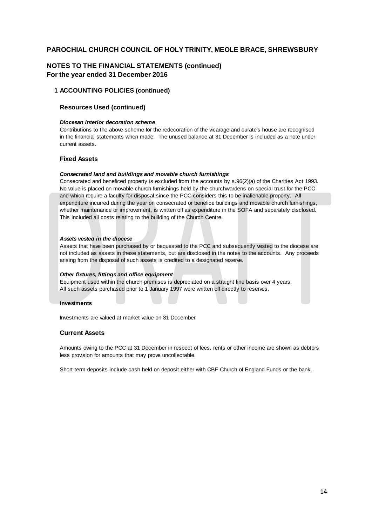### **NOTES TO THE FINANCIAL STATEMENTS (continued) For the year ended 31 December 2016**

### **1 ACCOUNTING POLICIES (continued)**

### **Resources Used (continued)**

#### *Diocesan interior decoration scheme*

Contributions to the above scheme for the redecoration of the vicarage and curate's house are recognised in the financial statements when made. The unused balance at 31 December is included as a note under current assets.

#### **Fixed Assets**

#### *Consecrated land and buildings and movable church furnishings*

Consecrated and beneficed property is excluded from the accounts by s.96(2)(a) of the Charities Act 1993. No value is placed on movable church furnishings held by the churchwardens on special trust for the PCC and which require a faculty for disposal since the PCC considers this to be inalienable property. All expenditure incurred during the year on consecrated or benefice buildings and movable church furnishings, whether maintenance or improvement, is written off as expenditure in the SOFA and separately disclosed. This included all costs relating to the building of the Church Centre.

#### *Assets vested in the diocese*

Assets that have been purchased by or bequested to the PCC and subsequently vested to the diocese are not included as assets in these statements, but are disclosed in the notes to the accounts. Any proceeds arising from the disposal of such assets is credited to a designated reserve.

#### *Other fixtures, fittings and office equipment*

Equipment used within the church premises is depreciated on a straight line basis over 4 years. All such assets purchased prior to 1 January 1997 were written off directly to reserves.

#### **Investments**

Investments are valued at market value on 31 December

#### **Current Assets**

Amounts owing to the PCC at 31 December in respect of fees, rents or other income are shown as debtors less provision for amounts that may prove uncollectable.

Short term deposits include cash held on deposit either with CBF Church of England Funds or the bank.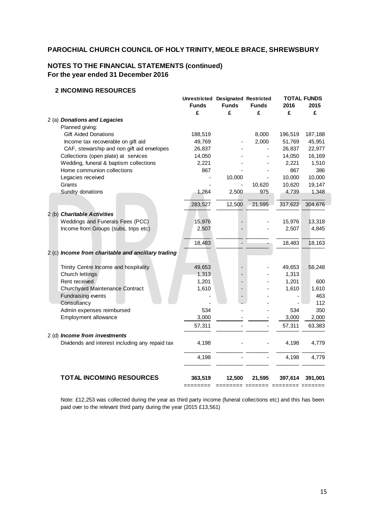# **NOTES TO THE FINANCIAL STATEMENTS (continued) For the year ended 31 December 2016**

### **2 INCOMING RESOURCES**

|                                                    | Unrestricted Designated Restricted<br><b>Funds</b><br>£ | <b>Funds</b><br>£ | <b>Funds</b><br>£ | 2016<br>£ | <b>TOTAL FUNDS</b><br>2015<br>£ |
|----------------------------------------------------|---------------------------------------------------------|-------------------|-------------------|-----------|---------------------------------|
| 2 (a) Donations and Legacies                       |                                                         |                   |                   |           |                                 |
| Planned giving:                                    |                                                         |                   |                   |           |                                 |
| <b>Gift Aided Donations</b>                        | 188,519                                                 |                   | 8,000             | 196,519   | 187,188                         |
| Income tax recoverable on gift aid                 | 49,769                                                  |                   | 2,000             | 51,769    | 45,951                          |
| CAF, stewarship and non gift aid envelopes         | 26,837                                                  |                   |                   | 26,837    | 22,977                          |
| Collections (open plate) at services               | 14,050                                                  |                   |                   | 14,050    | 16,169                          |
| Wedding, funeral & baptism collections             | 2,221                                                   |                   |                   | 2,221     | 1,510                           |
| Home communion collections                         | 867                                                     |                   |                   | 867       | 386                             |
| Legacies received                                  |                                                         | 10,000            |                   | 10,000    | 10,000                          |
| Grants                                             |                                                         |                   | 10,620            | 10,620    | 19,147                          |
| Sundry donations                                   | 1,264                                                   | 2,500             | 975               | 4,739     | 1,348                           |
|                                                    | 283,527                                                 | 12,500            | 21,595            | 317,622   | 304,676                         |
| 2 (b) Charitable Activities                        |                                                         |                   |                   |           |                                 |
| Weddings and Funerals Fees (PCC)                   | 15,976                                                  |                   |                   | 15,976    | 13,318                          |
| Income from Groups (subs, trips etc)               | 2,507                                                   |                   |                   | 2,507     | 4,845                           |
|                                                    |                                                         |                   |                   |           |                                 |
|                                                    | 18,483                                                  |                   |                   | 18,483    | 18,163                          |
| 2 (c) Income from charitable and ancillary trading |                                                         |                   |                   |           |                                 |
| Trinity Centre Income and hospitality              | 49,653                                                  |                   |                   | 49,653    | 58,248                          |
| Church lettings                                    | 1,313                                                   |                   |                   | 1,313     |                                 |
| Rent received                                      | 1,201                                                   |                   |                   | 1,201     | 600                             |
| Churchyard Maintenance Contract                    | 1,610                                                   |                   |                   | 1,610     | 1,610                           |
| <b>Fundraising events</b>                          |                                                         |                   |                   |           | 463                             |
| Consultancy                                        |                                                         |                   |                   |           | 112                             |
| Admin expenses reimbursed                          | 534                                                     |                   |                   | 534       | 350                             |
| Employment allowance                               | 3,000                                                   |                   |                   | 3,000     | 2,000                           |
|                                                    | 57,311                                                  |                   |                   | 57,311    | 63,383                          |
|                                                    |                                                         |                   |                   |           |                                 |
| 2 (d) Income from investments                      |                                                         |                   |                   |           |                                 |
| Dividends and interest including any repaid tax    | 4,198                                                   |                   |                   | 4,198     | 4,779                           |
|                                                    |                                                         |                   |                   |           |                                 |
|                                                    | 4,198                                                   |                   |                   | 4,198     | 4,779                           |
| <b>TOTAL INCOMING RESOURCES</b>                    | 363,519                                                 | 12,500            | 21,595            | 397,614   | 391,001                         |

Note: £12,253 was collected during the year as third party income (funeral collections etc) and this has been paid over to the relevant third party during the year (2015 £13,561)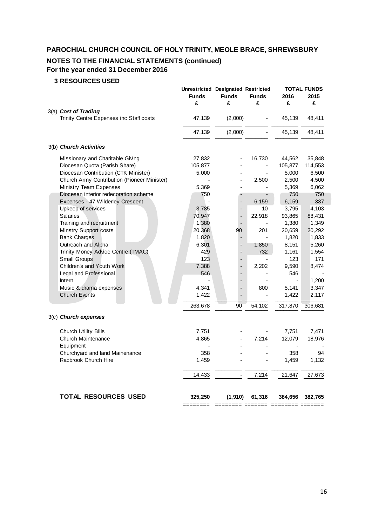# **NOTES TO THE FINANCIAL STATEMENTS (continued)**

# **For the year ended 31 December 2016**

# **3 RESOURCES USED**

|                                             | <b>Unrestricted Designated Restricted</b> |                                   |                                 |                          | <b>TOTAL FUNDS</b> |
|---------------------------------------------|-------------------------------------------|-----------------------------------|---------------------------------|--------------------------|--------------------|
|                                             | <b>Funds</b><br>£                         | <b>Funds</b><br>£                 | <b>Funds</b><br>£               | 2016<br>£                | 2015<br>£          |
| 3(a) Cost of Trading                        |                                           |                                   |                                 |                          |                    |
| Trinity Centre Expenses inc Staff costs     | 47,139                                    | (2,000)                           |                                 | 45,139                   | 48,411             |
|                                             | 47,139                                    | (2,000)                           |                                 | 45,139                   | 48,411             |
| 3(b) Church Activities                      |                                           |                                   |                                 |                          |                    |
| Missionary and Charitable Giving            | 27,832                                    |                                   | 16,730                          | 44,562                   | 35,848             |
| Diocesan Quota (Parish Share)               | 105,877                                   |                                   | $\centering \label{eq:reduced}$ | 105,877                  | 114,553            |
| Diocesan Contribution (CTK Minister)        | 5,000                                     |                                   |                                 | 5,000                    | 6,500              |
| Church Army Contribution (Pioneer Minister) |                                           |                                   | 2,500                           | 2,500                    | 4,500              |
| Ministry Team Expenses                      | 5,369                                     | $\blacksquare$                    |                                 | 5,369                    | 6,062              |
| Diocesan interior redecoration scheme       | 750                                       |                                   |                                 | 750                      | 750                |
| Expenses - 47 Wilderley Crescent            |                                           |                                   | 6,159                           | 6,159                    | 337                |
| Upkeep of services                          | 3,785                                     | $\overline{\phantom{0}}$          | 10                              | 3,795                    | 4,103              |
| <b>Salaries</b>                             | 70,947                                    | $\frac{1}{2}$                     | 22,918                          | 93,865                   | 88,431             |
| Training and recruitment                    | 1,380                                     |                                   |                                 | 1,380                    | 1,349              |
| <b>Minstry Support costs</b>                | 20,368                                    | 90                                | 201                             | 20,659                   | 20,292             |
| <b>Bank Charges</b>                         | 1,820                                     | $\frac{1}{2}$                     |                                 | 1,820                    | 1,833              |
| Outreach and Alpha                          | 6,301                                     |                                   | 1,850                           | 8,151                    | 5,260              |
| Trinity Money Advice Centre (TMAC)          | 429                                       |                                   | 732                             | 1,161                    | 1,554              |
| <b>Small Groups</b>                         | 123                                       | $\overline{\phantom{0}}$          |                                 | 123                      | 171                |
| Children's and Youth Work                   | 7,388                                     |                                   | 2,202                           | 9,590                    | 8,474              |
| Legal and Professional                      | 546                                       |                                   |                                 | 546                      |                    |
| Intern                                      |                                           |                                   |                                 | $\overline{\phantom{a}}$ | 1,200              |
| Music & drama expenses                      | 4,341                                     |                                   | 800                             | 5,141                    | 3,347              |
| <b>Church Events</b>                        | 1,422                                     |                                   |                                 | 1,422                    | 2,117              |
|                                             |                                           |                                   |                                 |                          |                    |
|                                             | 263,678                                   | 90                                | 54,102                          | 317,870                  | 306,681            |
| 3(c) Church expenses                        |                                           |                                   |                                 |                          |                    |
| <b>Church Utility Bills</b>                 | 7,751                                     |                                   |                                 | 7,751                    | 7,471              |
| Church Maintenance                          | 4,865                                     |                                   | 7,214                           | 12,079                   | 18,976             |
| Equipment                                   |                                           |                                   |                                 |                          |                    |
| Churchyard and land Mainenance              | 358                                       |                                   |                                 | 358                      | 94                 |
| Radbrook Church Hire                        | 1,459                                     |                                   |                                 | 1,459                    | 1,132              |
|                                             |                                           |                                   |                                 |                          |                    |
|                                             | 14,433                                    |                                   | 7,214                           | 21,647                   | 27,673             |
| <b>TOTAL RESOURCES USED</b>                 | 325,250                                   | (1,910)                           | 61,316                          | 384,656                  | 382,765            |
|                                             |                                           | ======== ======= ======== ======= |                                 |                          |                    |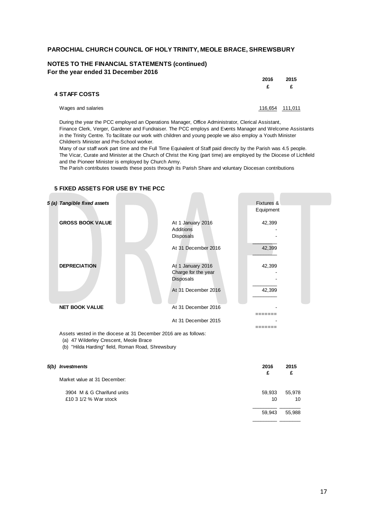### **NOTES TO THE FINANCIAL STATEMENTS (continued) For the year ended 31 December 2016**

|                    | 2016<br>£. | 2015<br>£       |
|--------------------|------------|-----------------|
| 4 STAFF COSTS      |            |                 |
| Wages and salaries |            | 116,654 111,011 |

During the year the PCC employed an Operations Manager, Office Administrator, Clerical Assistant, Finance Clerk, Verger, Gardener and Fundraiser. The PCC employs and Events Manager and Welcome Assistants in the Trinity Centre. To facilitate our work with children and young people we also employ a Youth Minister Children's Minister and Pre-School worker.

Many of our staff work part time and the Full Time Equivalent of Staff paid directly by the Parish was 4.5 people. The Vicar, Curate and Minister at the Church of Christ the King (part time) are employed by the Diocese of Lichfield and the Pioneer Minister is employed by Church Army.

The Parish contributes towards these posts through its Parish Share and voluntary Diocesan contributions

| 5 (a) Tangible fixed assets |                                                              | Fixtures & |  |
|-----------------------------|--------------------------------------------------------------|------------|--|
|                             |                                                              | Equipment  |  |
| <b>GROSS BOOK VALUE</b>     | At 1 January 2016<br>Additions<br>Disposals                  | 42,399     |  |
|                             | At 31 December 2016                                          | 42,399     |  |
| <b>DEPRECIATION</b>         | At 1 January 2016<br>Charge for the year<br><b>Disposals</b> | 42,399     |  |
|                             | At 31 December 2016                                          | 42,399     |  |
| <b>NET BOOK VALUE</b>       | At 31 December 2016                                          |            |  |
|                             | At 31 December 2015                                          |            |  |
|                             |                                                              |            |  |

### **5 FIXED ASSETS FOR USE BY THE PCC**

Assets vested in the diocese at 31 December 2016 are as follows:

(a) 47 Wilderley Crescent, Meole Brace

(b) "Hilda Harding" field, Roman Road, Shrewsbury

| 5(b) Investments             | 2016<br>£ | 2015<br>£ |
|------------------------------|-----------|-----------|
| Market value at 31 December: |           |           |
| 3904 M & G Charifund units   | 59,933    | 55,978    |
| £10 3 1/2 % War stock        | 10        | 10        |
|                              | 59,943    | 55,988    |
|                              |           |           |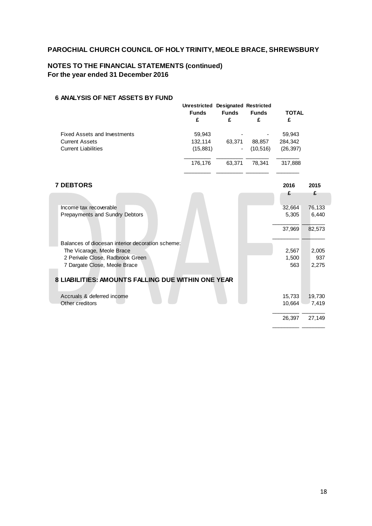# **NOTES TO THE FINANCIAL STATEMENTS (continued) For the year ended 31 December 2016**

### **6 ANALYSIS OF NET ASSETS BY FUND**

|                                     | Unrestricted Designated Restricted<br><b>Funds</b><br>£ | <b>Funds</b><br>£ | <b>Funds</b><br>£ | <b>TOTAL</b><br>£ |
|-------------------------------------|---------------------------------------------------------|-------------------|-------------------|-------------------|
| <b>Fixed Assets and Investments</b> | 59,943                                                  | ٠                 | ٠                 | 59,943            |
| <b>Current Assets</b>               | 132,114                                                 | 63,371            | 88.857            | 284,342           |
| <b>Current Liabilities</b>          | (15, 881)                                               | $\sim$            | (10, 516)         | (26, 397)         |
|                                     | 176,176                                                 | 63.371            | 78.341            | 317.888           |
|                                     |                                                         |                   |                   |                   |

### **7 DEBTORS 2016 2015**

| Income tax recoverable                             | 32,664 | 76,133 |
|----------------------------------------------------|--------|--------|
| Prepayments and Sundry Debtors                     | 5,305  | 6,440  |
|                                                    | 37,969 | 82,573 |
| Balances of diocesan interior decoration scheme:   |        |        |
| The Vicarage, Meole Brace                          | 2,567  | 2,005  |
| 2 Perivale Close, Radbrook Green                   | 1,500  | 937    |
| 7 Dargate Close, Meole Brace                       | 563    | 2,275  |
| 8 LIABILITIES: AMOUNTS FALLING DUE WITHIN ONE YEAR |        |        |
| Accruals & deferred income                         | 15,733 | 19.730 |
| Other creditors                                    | 10.664 | 7,419  |
|                                                    | 26,397 | 27,149 |

 $\overline{\phantom{a}}$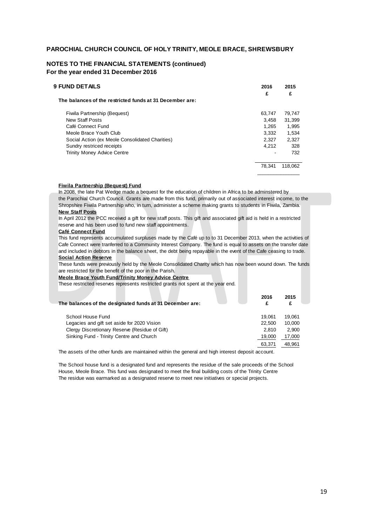### **NOTES TO THE FINANCIAL STATEMENTS (continued) For the year ended 31 December 2016**

| <b>9 FUND DETAILS</b>                                    | 2016<br>£ | 2015<br>£ |
|----------------------------------------------------------|-----------|-----------|
| The balances of the restricted funds at 31 December are: |           |           |
| Fiwila Partnership (Bequest)                             | 63.747    | 79,747    |
| New Staff Posts                                          | 3.458     | 31.399    |
| Café Connect Fund                                        | 1.265     | 1.995     |
| Meole Brace Youth Club                                   | 3.332     | 1.534     |
| Social Action (ex Meole Consolidated Charities)          | 2.327     | 2.327     |
| Sundry restriced receipts                                | 4.212     | 328       |
| <b>Trinity Money Advice Centre</b>                       |           | 732       |
|                                                          | 78.341    | 118.062   |
|                                                          |           |           |

#### **Fiwila Partnership (Bequest) Fund**

In 2008, the late Pat Wedge made a bequest for the education of children in Africa to be adminstered by the Parochial Church Council. Grants are made from this fund, primarily out of associated interest income, to the Shropshire Fiwila Partnership who, in turn, administer a scheme making grants to students in Fiwila, Zambia. **New Staff Posts**

In April 2012 the PCC received a gift for new staff posts. This gift and associated gift aid is held in a restricted reserve and has been used to fund new staff appointments.

#### **Café Connect Fund**

This fund represents accumulated surpluses made by the Café up to to 31 December 2013, when the activities of Cafe Connect were tranferred to a Community Interest Company. The fund is equal to assets on the transfer date and included in debtors in the balance sheet, the debt being repayable in the event of the Cafe ceasing to trade.

### **Social Action Reserve**

These funds were previously held by the Meole Consolidated Charity which has now been wound down. The funds are restricted for the benefit of the poor in the Parish.

#### **Meole Brace Youth Fund/Trinity Money Advice Centre**

These restricted reserves represents restricted grants not spent at the year end.

| The balances of the designated funds at 31 December are: | 2016<br>£ | 2015<br>£ |
|----------------------------------------------------------|-----------|-----------|
| School House Fund                                        | 19.061    | 19.061    |
| Legacies and gift set aside for 2020 Vision              | 22.500    | 10.000    |
| Clergy Discretionary Reserve (Residue of Gift)           | 2.810     | 2.900     |
| Sinking Fund - Trinity Centre and Church                 | 19.000    | 17,000    |
|                                                          | 63,371    | 48.961    |

The assets of the other funds are maintained within the general and high interest deposit account.

The School house fund is a designated fund and represents the residue of the sale proceeds of the School House, Meole Brace. This fund was designated to meet the final building costs of the Trinity Centre The residue was earmarked as a designated reserve to meet new initiatives or special projects.